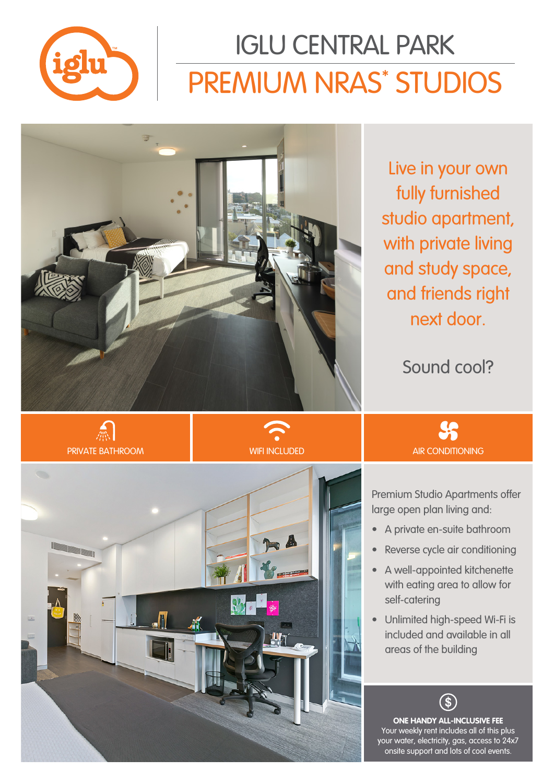

# PREMIUM NRAS\* STUDIOS IGLU CENTRAL PARK